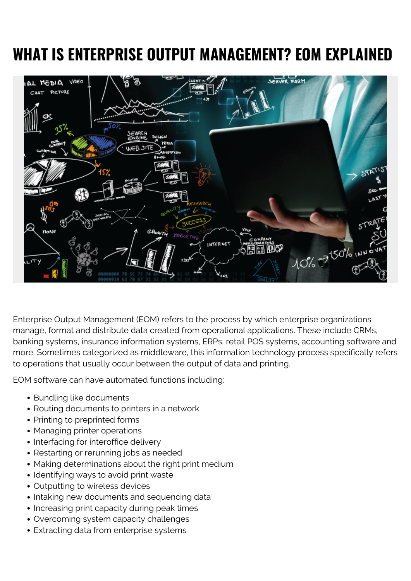# **WHAT IS ENTERPRISE OUTPUT MANAGEMENT? EOM EXPLAINED**



Enterprise Output Management (EOM) refers to the process by which enterprise organizations manage, format and distribute data created from operational applications. These include CRMs, banking systems, insurance information systems, ERPs, retail POS systems, accounting software and more. Sometimes categorized as middleware, this information technology process specifically refers to operations that usually occur between the output of data and printing.

EOM software can have automated functions including:

- Bundling like documents
- Routing documents to printers in a network
- Printing to preprinted forms
- Managing printer operations
- Interfacing for interoffice delivery
- Restarting or rerunning jobs as needed
- Making determinations about the right print medium
- Identifying ways to avoid print waste
- Outputting to wireless devices
- Intaking new documents and sequencing data
- Increasing print capacity during peak times
- Overcoming system capacity challenges
- Extracting data from enterprise systems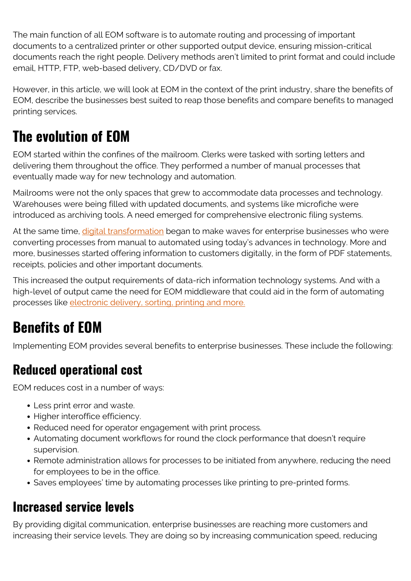The main function of all EOM software is to automate routing and processing of important documents to a centralized printer or other supported output device, ensuring mission-critical documents reach the right people. Delivery methods aren't limited to print format and could include email, HTTP, FTP, web-based delivery, CD/DVD or fax.

However, in this article, we will look at EOM in the context of the print industry, share the benefits of EOM, describe the businesses best suited to reap those benefits and compare benefits to managed printing services.

# **The evolution of EOM**

EOM started within the confines of the mailroom. Clerks were tasked with sorting letters and delivering them throughout the office. They performed a number of manual processes that eventually made way for new technology and automation.

Mailrooms were not the only spaces that grew to accommodate data processes and technology. Warehouses were being filled with updated documents, and systems like microfiche were introduced as archiving tools. A need emerged for comprehensive electronic filing systems.

At the same time, *digital transformation* began to make waves for enterprise businesses who were converting processes from manual to automated using today's advances in technology. More and more, businesses started offering information to customers digitally, in the form of PDF statements, receipts, policies and other important documents.

This increased the output requirements of data-rich information technology systems. And with a high-level of output came the need for EOM middleware that could aid in the form of automating processes like [electronic delivery, sorting, printing and more.](https://www.gartner.com/doc/413184/client-issues-document-output-management)

# **Benefits of EOM**

Implementing EOM provides several benefits to enterprise businesses. These include the following:

### **Reduced operational cost**

EOM reduces cost in a number of ways:

- Less print error and waste.
- Higher interoffice efficiency.
- Reduced need for operator engagement with print process.
- Automating document workflows for round the clock performance that doesn't require supervision.
- Remote administration allows for processes to be initiated from anywhere, reducing the need for employees to be in the office.
- Saves employees' time by automating processes like printing to pre-printed forms.

#### **Increased service levels**

By providing digital communication, enterprise businesses are reaching more customers and increasing their service levels. They are doing so by increasing communication speed, reducing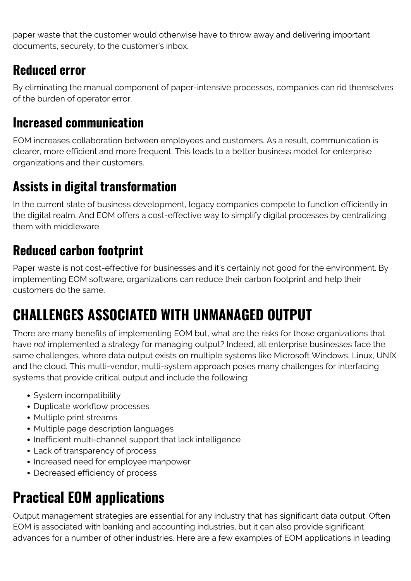paper waste that the customer would otherwise have to throw away and delivering important documents, securely, to the customer's inbox.

### **Reduced error**

By eliminating the manual component of paper-intensive processes, companies can rid themselves of the burden of operator error.

#### **Increased communication**

EOM increases collaboration between employees and customers. As a result, communication is clearer, more efficient and more frequent. This leads to a better business model for enterprise organizations and their customers.

### **Assists in digital transformation**

In the current state of business development, legacy companies compete to function efficiently in the digital realm. And EOM offers a cost-effective way to simplify digital processes by centralizing them with middleware.

### **Reduced carbon footprint**

Paper waste is not cost-effective for businesses and it's certainly not good for the environment. By implementing EOM software, organizations can reduce their carbon footprint and help their customers do the same.

# **CHALLENGES ASSOCIATED WITH UNMANAGED OUTPUT**

There are many benefits of implementing EOM but, what are the risks for those organizations that have *not* implemented a strategy for managing output? Indeed, all enterprise businesses face the same challenges, where data output exists on multiple systems like Microsoft Windows, Linux, UNIX and the cloud. This multi-vendor, multi-system approach poses many challenges for interfacing systems that provide critical output and include the following:

- System incompatibility
- Duplicate workflow processes
- Multiple print streams
- Multiple page description languages
- Inefficient multi-channel support that lack intelligence
- Lack of transparency of process
- Increased need for employee manpower
- Decreased efficiency of process

# **Practical EOM applications**

Output management strategies are essential for any industry that has significant data output. Often EOM is associated with banking and accounting industries, but it can also provide significant advances for a number of other industries. Here are a few examples of EOM applications in leading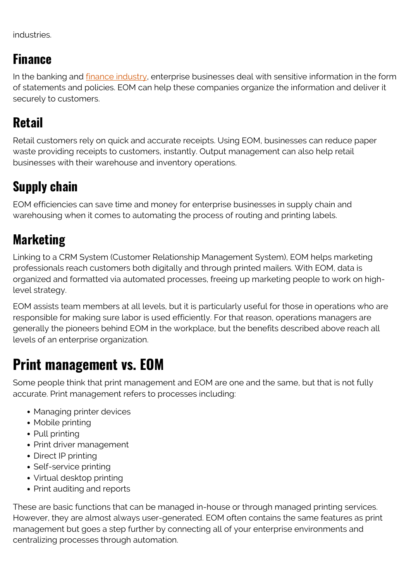industries.

#### **Finance**

In the banking and *finance industry*, enterprise businesses deal with sensitive information in the form of statements and policies. EOM can help these companies organize the information and deliver it securely to customers.

### **Retail**

Retail customers rely on quick and accurate receipts. Using EOM, businesses can reduce paper waste providing receipts to customers, instantly. Output management can also help retail businesses with their warehouse and inventory operations.

### **Supply chain**

EOM efficiencies can save time and money for enterprise businesses in supply chain and warehousing when it comes to automating the process of routing and printing labels.

### **Marketing**

Linking to a CRM System (Customer Relationship Management System), EOM helps marketing professionals reach customers both digitally and through printed mailers. With EOM, data is organized and formatted via automated processes, freeing up marketing people to work on highlevel strategy.

EOM assists team members at all levels, but it is particularly useful for those in operations who are responsible for making sure labor is used efficiently. For that reason, operations managers are generally the pioneers behind EOM in the workplace, but the benefits described above reach all levels of an enterprise organization.

# **Print management vs. EOM**

Some people think that print management and EOM are one and the same, but that is not fully accurate. Print management refers to processes including:

- Managing printer devices
- Mobile printing
- Pull printing
- Print driver management
- Direct IP printing
- Self-service printing
- Virtual desktop printing
- Print auditing and reports

These are basic functions that can be managed in-house or through managed printing services. However, they are almost always user-generated. EOM often contains the same features as print management but goes a step further by connecting all of your enterprise environments and centralizing processes through automation.